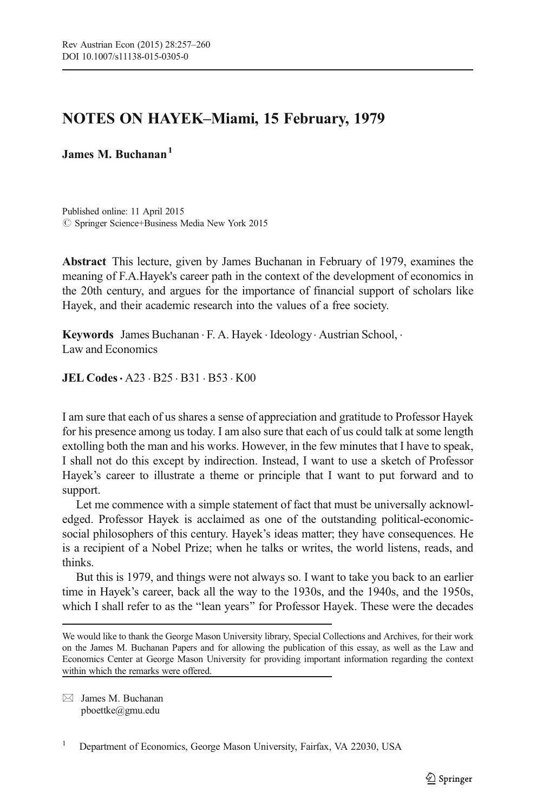## NOTES ON HAYEK–Miami, 15 February, 1979

## James M. Buchanan<sup>1</sup>

Published online: 11 April 2015  $\oslash$  Springer Science+Business Media New York 2015

Abstract This lecture, given by James Buchanan in February of 1979, examines the meaning of F.A.Hayek's career path in the context of the development of economics in the 20th century, and argues for the importance of financial support of scholars like Hayek, and their academic research into the values of a free society.

Keywords James Buchanan . F. A. Hayek . Ideology. Austrian School, . Law and Economics

JEL Codes. A23 . B25 . B31 . B53 . K00

I am sure that each of us shares a sense of appreciation and gratitude to Professor Hayek for his presence among us today. I am also sure that each of us could talk at some length extolling both the man and his works. However, in the few minutes that I have to speak, I shall not do this except by indirection. Instead, I want to use a sketch of Professor Hayek's career to illustrate a theme or principle that I want to put forward and to support.

Let me commence with a simple statement of fact that must be universally acknowledged. Professor Hayek is acclaimed as one of the outstanding political-economicsocial philosophers of this century. Hayek's ideas matter; they have consequences. He is a recipient of a Nobel Prize; when he talks or writes, the world listens, reads, and thinks.

But this is 1979, and things were not always so. I want to take you back to an earlier time in Hayek's career, back all the way to the 1930s, and the 1940s, and the 1950s, which I shall refer to as the "lean years" for Professor Hayek. These were the decades

 $\boxtimes$  James M. Buchanan pboettke@gmu.edu

<sup>1</sup> Department of Economics, George Mason University, Fairfax, VA 22030, USA

We would like to thank the George Mason University library, Special Collections and Archives, for their work on the James M. Buchanan Papers and for allowing the publication of this essay, as well as the Law and Economics Center at George Mason University for providing important information regarding the context within which the remarks were offered.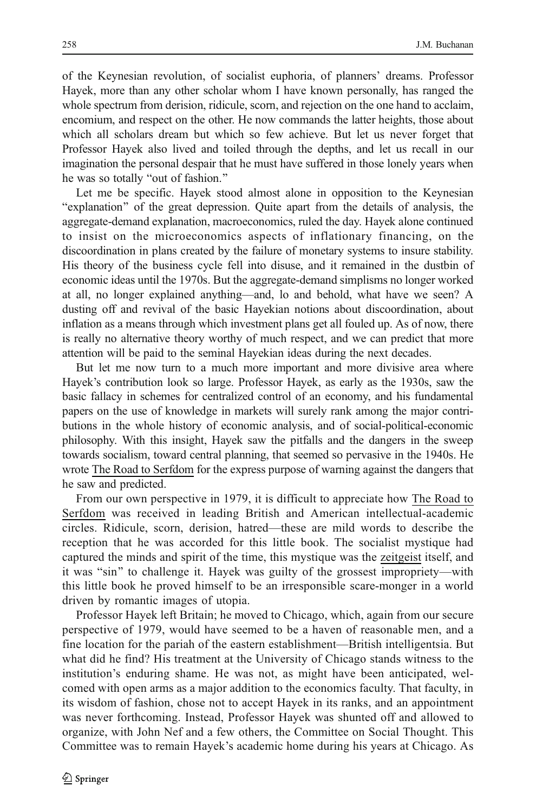of the Keynesian revolution, of socialist euphoria, of planners' dreams. Professor Hayek, more than any other scholar whom I have known personally, has ranged the whole spectrum from derision, ridicule, scorn, and rejection on the one hand to acclaim, encomium, and respect on the other. He now commands the latter heights, those about which all scholars dream but which so few achieve. But let us never forget that Professor Hayek also lived and toiled through the depths, and let us recall in our imagination the personal despair that he must have suffered in those lonely years when he was so totally "out of fashion."

Let me be specific. Hayek stood almost alone in opposition to the Keynesian "explanation" of the great depression. Quite apart from the details of analysis, the aggregate-demand explanation, macroeconomics, ruled the day. Hayek alone continued to insist on the microeconomics aspects of inflationary financing, on the discoordination in plans created by the failure of monetary systems to insure stability. His theory of the business cycle fell into disuse, and it remained in the dustbin of economic ideas until the 1970s. But the aggregate-demand simplisms no longer worked at all, no longer explained anything—and, lo and behold, what have we seen? A dusting off and revival of the basic Hayekian notions about discoordination, about inflation as a means through which investment plans get all fouled up. As of now, there is really no alternative theory worthy of much respect, and we can predict that more attention will be paid to the seminal Hayekian ideas during the next decades.

But let me now turn to a much more important and more divisive area where Hayek's contribution look so large. Professor Hayek, as early as the 1930s, saw the basic fallacy in schemes for centralized control of an economy, and his fundamental papers on the use of knowledge in markets will surely rank among the major contributions in the whole history of economic analysis, and of social-political-economic philosophy. With this insight, Hayek saw the pitfalls and the dangers in the sweep towards socialism, toward central planning, that seemed so pervasive in the 1940s. He wrote The Road to Serfdom for the express purpose of warning against the dangers that he saw and predicted.

From our own perspective in 1979, it is difficult to appreciate how The Road to Serfdom was received in leading British and American intellectual-academic circles. Ridicule, scorn, derision, hatred—these are mild words to describe the reception that he was accorded for this little book. The socialist mystique had captured the minds and spirit of the time, this mystique was the zeitgeist itself, and it was "sin" to challenge it. Hayek was guilty of the grossest impropriety—with this little book he proved himself to be an irresponsible scare-monger in a world driven by romantic images of utopia.

Professor Hayek left Britain; he moved to Chicago, which, again from our secure perspective of 1979, would have seemed to be a haven of reasonable men, and a fine location for the pariah of the eastern establishment—British intelligentsia. But what did he find? His treatment at the University of Chicago stands witness to the institution's enduring shame. He was not, as might have been anticipated, welcomed with open arms as a major addition to the economics faculty. That faculty, in its wisdom of fashion, chose not to accept Hayek in its ranks, and an appointment was never forthcoming. Instead, Professor Hayek was shunted off and allowed to organize, with John Nef and a few others, the Committee on Social Thought. This Committee was to remain Hayek's academic home during his years at Chicago. As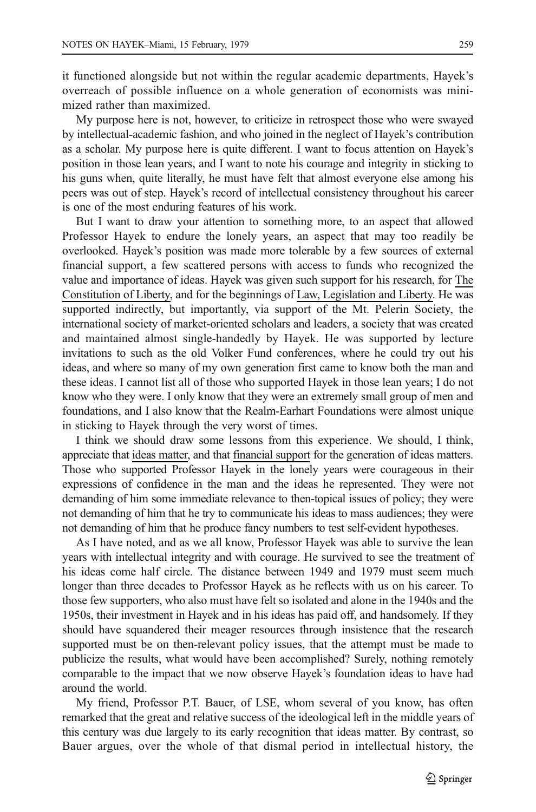it functioned alongside but not within the regular academic departments, Hayek's overreach of possible influence on a whole generation of economists was minimized rather than maximized.

My purpose here is not, however, to criticize in retrospect those who were swayed by intellectual-academic fashion, and who joined in the neglect of Hayek's contribution as a scholar. My purpose here is quite different. I want to focus attention on Hayek's position in those lean years, and I want to note his courage and integrity in sticking to his guns when, quite literally, he must have felt that almost everyone else among his peers was out of step. Hayek's record of intellectual consistency throughout his career is one of the most enduring features of his work.

But I want to draw your attention to something more, to an aspect that allowed Professor Hayek to endure the lonely years, an aspect that may too readily be overlooked. Hayek's position was made more tolerable by a few sources of external financial support, a few scattered persons with access to funds who recognized the value and importance of ideas. Hayek was given such support for his research, for The Constitution of Liberty, and for the beginnings of Law, Legislation and Liberty. He was supported indirectly, but importantly, via support of the Mt. Pelerin Society, the international society of market-oriented scholars and leaders, a society that was created and maintained almost single-handedly by Hayek. He was supported by lecture invitations to such as the old Volker Fund conferences, where he could try out his ideas, and where so many of my own generation first came to know both the man and these ideas. I cannot list all of those who supported Hayek in those lean years; I do not know who they were. I only know that they were an extremely small group of men and foundations, and I also know that the Realm-Earhart Foundations were almost unique in sticking to Hayek through the very worst of times.

I think we should draw some lessons from this experience. We should, I think, appreciate that ideas matter, and that financial support for the generation of ideas matters. Those who supported Professor Hayek in the lonely years were courageous in their expressions of confidence in the man and the ideas he represented. They were not demanding of him some immediate relevance to then-topical issues of policy; they were not demanding of him that he try to communicate his ideas to mass audiences; they were not demanding of him that he produce fancy numbers to test self-evident hypotheses.

As I have noted, and as we all know, Professor Hayek was able to survive the lean years with intellectual integrity and with courage. He survived to see the treatment of his ideas come half circle. The distance between 1949 and 1979 must seem much longer than three decades to Professor Hayek as he reflects with us on his career. To those few supporters, who also must have felt so isolated and alone in the 1940s and the 1950s, their investment in Hayek and in his ideas has paid off, and handsomely. If they should have squandered their meager resources through insistence that the research supported must be on then-relevant policy issues, that the attempt must be made to publicize the results, what would have been accomplished? Surely, nothing remotely comparable to the impact that we now observe Hayek's foundation ideas to have had around the world.

My friend, Professor P.T. Bauer, of LSE, whom several of you know, has often remarked that the great and relative success of the ideological left in the middle years of this century was due largely to its early recognition that ideas matter. By contrast, so Bauer argues, over the whole of that dismal period in intellectual history, the